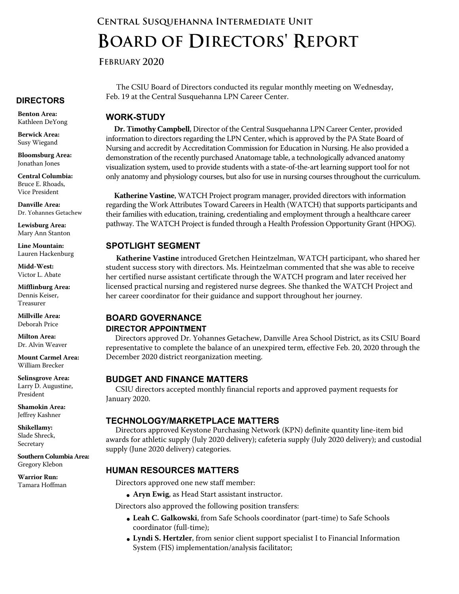# **Central Susquehanna Intermediate Unit**

# **BOARD OF DIRECTORS' REPORT**

**FEBRUARY 2020**

**DIRECTORS**

**Benton Area:** Kathleen DeYong

**Berwick Area:** Susy Wiegand

**Bloomsburg Area:**  Jonathan Jones

**Central Columbia:** Bruce E. Rhoads, Vice President

**Danville Area:** Dr. Yohannes Getachew

**Lewisburg Area:** Mary Ann Stanton

**Line Mountain:** Lauren Hackenburg

**Midd-West:**  Victor L. Abate

**Mifflinburg Area:** Dennis Keiser, Treasurer

**Millville Area:** Deborah Price

**Milton Area:** Dr. Alvin Weaver

**Mount Carmel Area:**  William Brecker

**Selinsgrove Area:**  Larry D. Augustine, President

**Shamokin Area:** Jeffrey Kashner

**Shikellamy:**  Slade Shreck, Secretary

**Southern Columbia Area:** Gregory Klebon

**Warrior Run:** Tamara Hoffman

The CSIU Board of Directors conducted its regular monthly meeting on Wednesday, Feb. 19 at the Central Susquehanna LPN Career Center.

# **WORK-STUDY**

 **Dr. Timothy Campbell**, Director of the Central Susquehanna LPN Career Center, provided information to directors regarding the LPN Center, which is approved by the PA State Board of Nursing and accredit by Accreditation Commission for Education in Nursing. He also provided a demonstration of the recently purchased Anatomage table, a technologically advanced anatomy visualization system, used to provide students with a state-of-the-art learning support tool for not only anatomy and physiology courses, but also for use in nursing courses throughout the curriculum.

 **Katherine Vastine**, WATCH Project program manager, provided directors with information regarding the Work Attributes Toward Careers in Health (WATCH) that supports participants and their families with education, training, credentialing and employment through a healthcare career pathway. The WATCH Project is funded through a Health Profession Opportunity Grant (HPOG).

# **SPOTLIGHT SEGMENT**

**Katherine Vastine** introduced Gretchen Heintzelman, WATCH participant, who shared her student success story with directors. Ms. Heintzelman commented that she was able to receive her certified nurse assistant certificate through the WATCH program and later received her licensed practical nursing and registered nurse degrees. She thanked the WATCH Project and her career coordinator for their guidance and support throughout her journey.

# **BOARD GOVERNANCE**

#### **DIRECTOR APPOINTMENT**

 Directors approved Dr. Yohannes Getachew, Danville Area School District, as its CSIU Board representative to complete the balance of an unexpired term, effective Feb. 20, 2020 through the December 2020 district reorganization meeting.

# **BUDGET AND FINANCE MATTERS**

CSIU directors accepted monthly financial reports and approved payment requests for January 2020.

# **TECHNOLOGY/MARKETPLACE MATTERS**

Directors approved Keystone Purchasing Network (KPN) definite quantity line-item bid awards for athletic supply (July 2020 delivery); cafeteria supply (July 2020 delivery); and custodial supply (June 2020 delivery) categories.

# **HUMAN RESOURCES MATTERS**

Directors approved one new staff member:

• **Aryn Ewig**, as Head Start assistant instructor.

Directors also approved the following position transfers:

- **Leah C. Galkowski**, from Safe Schools coordinator (part-time) to Safe Schools coordinator (full-time);
- **Lyndi S. Hertzler**, from senior client support specialist I to Financial Information System (FIS) implementation/analysis facilitator;